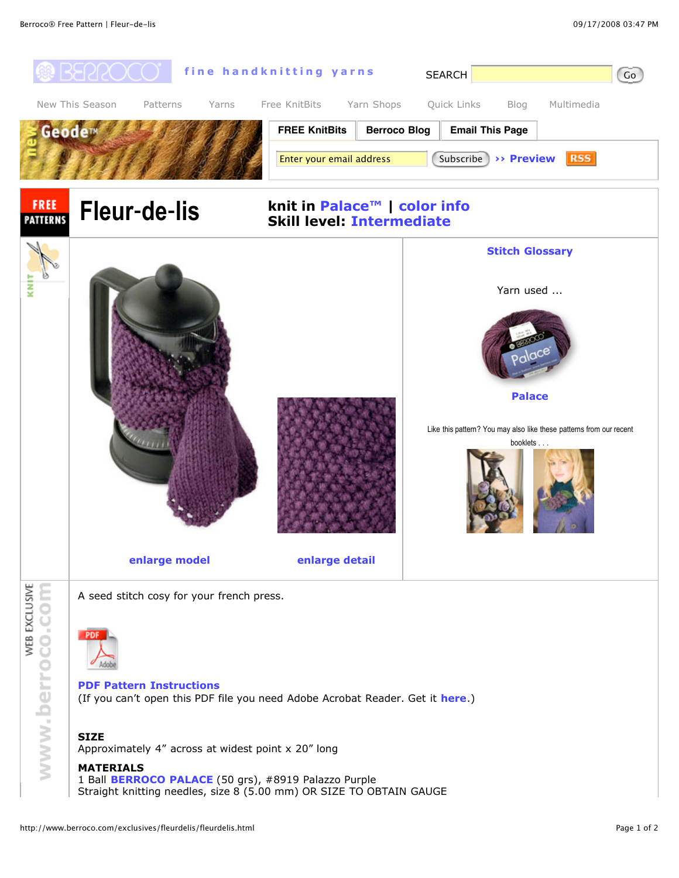